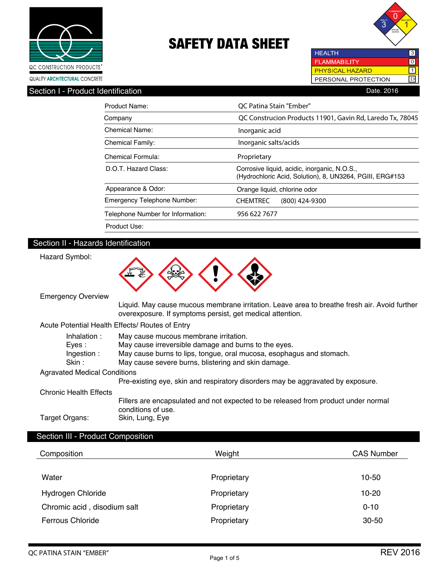



**HEALTH FLAMMABILITY**  $\overline{10}$  $\overline{\mathbb{1}}$ PHYSICAL HAZARD PERSONAL PROTECTION D

| Section I -<br>I - Product Identification | 2016<br>Date. |
|-------------------------------------------|---------------|
|                                           |               |

| Product Name:                      | OC Patina Stain "Ember"                                                                                  |  |
|------------------------------------|----------------------------------------------------------------------------------------------------------|--|
| Company                            | QC Construcion Products 11901, Gavin Rd, Laredo Tx, 78045                                                |  |
| <b>Chemical Name:</b>              | Inorganic acid                                                                                           |  |
| <b>Chemical Family:</b>            | Inorganic salts/acids                                                                                    |  |
| Chemical Formula:                  | Proprietary                                                                                              |  |
| D.O.T. Hazard Class:               | Corrosive liquid, acidic, inorganic, N.O.S.,<br>(Hydrochloric Acid, Solution), 8, UN3264, PGIII, ERG#153 |  |
| Appearance & Odor:                 | Orange liquid, chlorine odor                                                                             |  |
| <b>Emergency Telephone Number:</b> | <b>CHEMTREC</b><br>$(800)$ 424-9300                                                                      |  |
| Telephone Number for Information:  | 956 622 7677                                                                                             |  |
| Product Use:                       |                                                                                                          |  |

### Section II - Hazards Identification

Hazard Symbol:



Emergency Overview

 Liquid. May cause mucous membrane irritation. Leave area to breathe fresh air. Avoid further overexposure. If symptoms persist, get medical attention.

### Acute Potential Health Effects/ Routes of Entry

|                | Inhalation:                         | May cause mucous membrane irritation.                                              |
|----------------|-------------------------------------|------------------------------------------------------------------------------------|
|                | Eves :                              | May cause irreversible damage and burns to the eyes.                               |
|                | Ingestion:                          | May cause burns to lips, tongue, oral mucosa, esophagus and stomach.               |
|                | Skin :                              | May cause severe burns, blistering and skin damage.                                |
|                | <b>Agravated Medical Conditions</b> |                                                                                    |
|                |                                     | Pre-existing eye, skin and respiratory disorders may be aggravated by exposure.    |
|                | Chronic Health Effects              |                                                                                    |
|                |                                     | Fillers are encapsulated and not expected to be released from product under normal |
|                |                                     | conditions of use.                                                                 |
| Target Organs: |                                     | Skin, Lung, Eye                                                                    |

### Section III - Product Composition

| Composition                 | Weight      | <b>CAS Number</b> |
|-----------------------------|-------------|-------------------|
| Water                       | Proprietary | 10-50             |
| Hydrogen Chloride           | Proprietary | $10 - 20$         |
| Chromic acid, disodium salt | Proprietary | $0 - 10$          |
| <b>Ferrous Chloride</b>     | Proprietary | $30 - 50$         |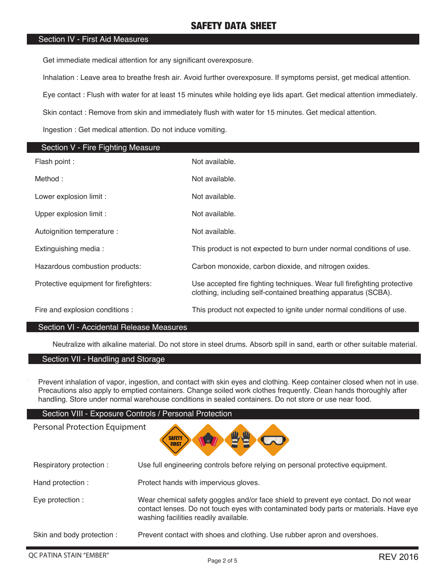### Section IV - First Aid Measures

Get immediate medical attention for any significant overexposure.

Inhalation : Leave area to breathe fresh air. Avoid further overexposure. If symptoms persist, get medical attention.

Eye contact : Flush with water for at least 15 minutes while holding eye lids apart. Get medical attention immediately.

Skin contact : Remove from skin and immediately flush with water for 15 minutes. Get medical attention.

Ingestion : Get medical attention. Do not induce vomiting.

| Section V - Fire Fighting Measure      |                                                                                                                                            |
|----------------------------------------|--------------------------------------------------------------------------------------------------------------------------------------------|
| Flash point :                          | Not available.                                                                                                                             |
| Method:                                | Not available.                                                                                                                             |
| Lower explosion limit :                | Not available.                                                                                                                             |
| Upper explosion limit :                | Not available.                                                                                                                             |
| Autoignition temperature :             | Not available.                                                                                                                             |
| Extinguishing media:                   | This product is not expected to burn under normal conditions of use.                                                                       |
| Hazardous combustion products:         | Carbon monoxide, carbon dioxide, and nitrogen oxides.                                                                                      |
| Protective equipment for firefighters: | Use accepted fire fighting techniques. Wear full firefighting protective<br>clothing, including self-contained breathing apparatus (SCBA). |
| Fire and explosion conditions :        | This product not expected to ignite under normal conditions of use.                                                                        |

### Section VI - Accidental Release Measures

Neutralize with alkaline material. Do not store in steel drums. Absorb spill in sand, earth or other suitable material.

### Section VII - Handling and Storage

Personal Protection Equipment

Prevent inhalation of vapor, ingestion, and contact with skin eyes and clothing. Keep container closed when not in use. Precautions also apply to emptied containers. Change soiled work clothes frequently. Clean hands thoroughly after handling. Store under normal warehouse conditions in sealed containers. Do not store or use near food.

### Section VIII - Exposure Controls / Personal Protection

# **SAFETY FIRST**

| Respiratory protection:    | Use full engineering controls before relying on personal protective equipment.                                                                                                                                        |
|----------------------------|-----------------------------------------------------------------------------------------------------------------------------------------------------------------------------------------------------------------------|
| Hand protection :          | Protect hands with impervious gloves.                                                                                                                                                                                 |
| Eye protection :           | Wear chemical safety goggles and/or face shield to prevent eye contact. Do not wear<br>contact lenses. Do not touch eyes with contaminated body parts or materials. Have eye<br>washing facilities readily available. |
| Skin and body protection : | Prevent contact with shoes and clothing. Use rubber apron and overshoes.                                                                                                                                              |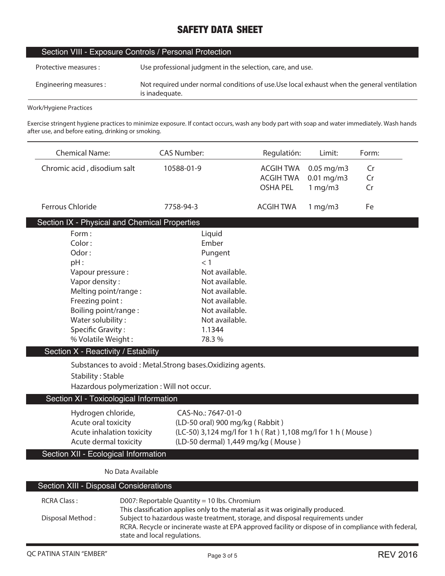| Section VIII - Exposure Controls / Personal Protection |                                                                                                               |  |
|--------------------------------------------------------|---------------------------------------------------------------------------------------------------------------|--|
| Protective measures :                                  | Use professional judgment in the selection, care, and use.                                                    |  |
| Engineering measures:                                  | Not required under normal conditions of use. Use local exhaust when the general ventilation<br>is inadequate. |  |
|                                                        |                                                                                                               |  |

**Work/Hygiene Practices**

L

J.

**Exercise stringent hygiene practices to minimize exposure. If contact occurs, wash any body part with soap and water immediately. Wash hands after use, and before eating, drinking or smoking.**

| <b>Chemical Name:</b>                         | <b>CAS Number:</b>                                                                                   | Regulatión:      | Limit:       | Form: |
|-----------------------------------------------|------------------------------------------------------------------------------------------------------|------------------|--------------|-------|
| Chromic acid, disodium salt                   | 10588-01-9                                                                                           | <b>ACGIH TWA</b> | $0.05$ mg/m3 | Cr    |
|                                               |                                                                                                      | <b>ACGIH TWA</b> | $0.01$ mg/m3 | Cr    |
|                                               |                                                                                                      | <b>OSHA PEL</b>  | 1 mg/m3      | Cr    |
| <b>Ferrous Chloride</b>                       | 7758-94-3                                                                                            | <b>ACGIH TWA</b> | 1 mg/m3      | Fe    |
| Section IX - Physical and Chemical Properties |                                                                                                      |                  |              |       |
| Form:                                         | Liquid                                                                                               |                  |              |       |
| Color:                                        | Ember                                                                                                |                  |              |       |
| Odor:                                         | Pungent                                                                                              |                  |              |       |
| pH:                                           | < 1                                                                                                  |                  |              |       |
| Vapour pressure :                             | Not available.                                                                                       |                  |              |       |
| Vapor density:                                | Not available.                                                                                       |                  |              |       |
| Melting point/range:<br>Freezing point:       | Not available.<br>Not available.                                                                     |                  |              |       |
| Boiling point/range:                          | Not available.                                                                                       |                  |              |       |
| Water solubility:                             | Not available.                                                                                       |                  |              |       |
| <b>Specific Gravity:</b>                      | 1.1344                                                                                               |                  |              |       |
| % Volatile Weight:                            | 78.3%                                                                                                |                  |              |       |
| Section X - Reactivity / Estability           |                                                                                                      |                  |              |       |
|                                               | Substances to avoid: Metal.Strong bases.Oxidizing agents.                                            |                  |              |       |
| <b>Stability: Stable</b>                      |                                                                                                      |                  |              |       |
| Hazardous polymerization : Will not occur.    |                                                                                                      |                  |              |       |
|                                               | Section XI - Toxicological Information                                                               |                  |              |       |
| Hydrogen chloride,                            | CAS-No.: 7647-01-0                                                                                   |                  |              |       |
| Acute oral toxicity                           | (LD-50 oral) 900 mg/kg (Rabbit)                                                                      |                  |              |       |
| Acute inhalation toxicity                     | (LC-50) 3,124 mg/l for 1 h (Rat) 1,108 mg/l for 1 h (Mouse)                                          |                  |              |       |
| Acute dermal toxicity                         | (LD-50 dermal) 1,449 mg/kg (Mouse)                                                                   |                  |              |       |
| Section XII - Ecological Information          |                                                                                                      |                  |              |       |
| No Data Available                             |                                                                                                      |                  |              |       |
| Section XIII - Disposal Considerations        |                                                                                                      |                  |              |       |
| <b>RCRA Class:</b>                            | D007: Reportable Quantity = 10 lbs. Chromium                                                         |                  |              |       |
|                                               | This classification applies only to the material as it was originally produced.                      |                  |              |       |
| Disposal Method:                              | Subject to hazardous waste treatment, storage, and disposal requirements under                       |                  |              |       |
|                                               | RCRA. Recycle or incinerate waste at EPA approved facility or dispose of in compliance with federal, |                  |              |       |
|                                               | state and local regulations.                                                                         |                  |              |       |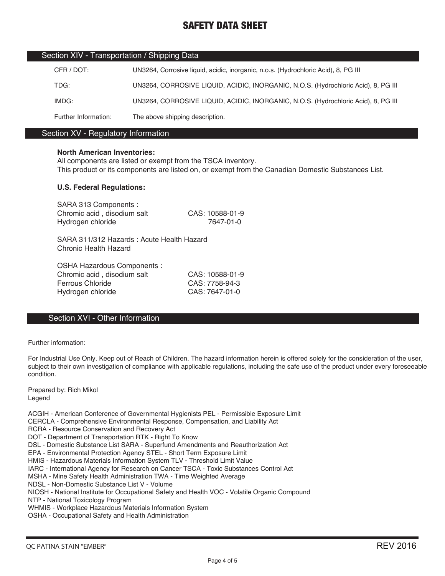| Section XIV - Transportation / Shipping Data |                                                                                    |  |  |
|----------------------------------------------|------------------------------------------------------------------------------------|--|--|
| CFR / DOT:                                   | UN3264, Corrosive liquid, acidic, inorganic, n.o.s. (Hydrochloric Acid), 8, PG III |  |  |
| TDG:                                         | UN3264, CORROSIVE LIQUID, ACIDIC, INORGANIC, N.O.S. (Hydrochloric Acid), 8, PG III |  |  |
| IMDG:                                        | UN3264, CORROSIVE LIQUID, ACIDIC, INORGANIC, N.O.S. (Hydrochloric Acid), 8, PG III |  |  |
| Further Information:                         | The above shipping description.                                                    |  |  |

### Section XV - Regulatory Information

### **North American Inventories:**

All components are listed or exempt from the TSCA inventory. This product or its components are listed on, or exempt from the Canadian Domestic Substances List.

### **U.S. Federal Regulations:**

| SARA 313 Components :                      |                 |
|--------------------------------------------|-----------------|
| Chromic acid, disodium salt                | CAS: 10588-01-9 |
| Hydrogen chloride                          | 7647-01-0       |
|                                            |                 |
| SARA 311/312 Hazards : Acute Health Hazard |                 |

SARA 311/312 Hazards : Acute Health Hazard Chronic Health Hazard

OSHA Hazardous Components : Chromic acid , disodium salt CAS: 10588-01-9 Ferrous Chloride CAS: 7758-94-3 Hydrogen chloride CAS: 7647-01-0

### Section XVI - Other Information

Further information:

For Industrial Use Only. Keep out of Reach of Children. The hazard information herein is offered solely for the consideration of the user, subject to their own investigation of compliance with applicable regulations, including the safe use of the product under every foreseeable condition.

Prepared by: Rich Mikol Legend

ACGIH - American Conference of Governmental Hygienists PEL - Permissible Exposure Limit CERCLA - Comprehensive Environmental Response, Compensation, and Liability Act RCRA - Resource Conservation and Recovery Act DOT - Department of Transportation RTK - Right To Know DSL - Domestic Substance List SARA - Superfund Amendments and Reauthorization Act EPA - Environmental Protection Agency STEL - Short Term Exposure Limit HMIS - Hazardous Materials Information System TLV - Threshold Limit Value IARC - International Agency for Research on Cancer TSCA - Toxic Substances Control Act MSHA - Mine Safety Health Administration TWA - Time Weighted Average NDSL - Non-Domestic Substance List V - Volume NIOSH - National Institute for Occupational Safety and Health VOC - Volatile Organic Compound NTP - National Toxicology Program WHMIS - Workplace Hazardous Materials Information System OSHA - Occupational Safety and Health Administration